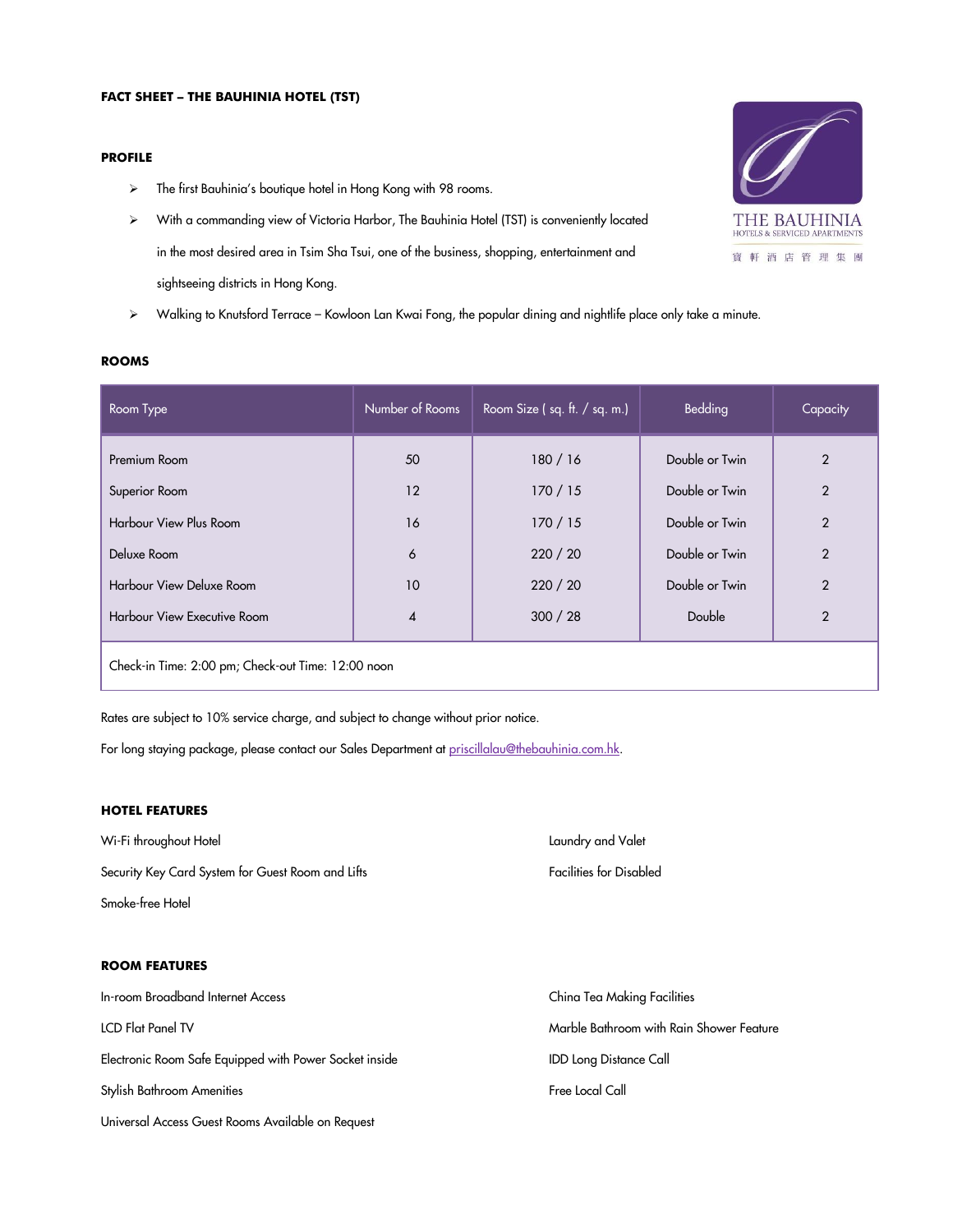## **PROFILE**

- > The first Bauhinia's boutique hotel in Hong Kong with 98 rooms.
- With a commanding view of Victoria Harbor, The Bauhinia Hotel (TST) is conveniently located in the most desired area in Tsim Sha Tsui, one of the business, shopping, entertainment and sightseeing districts in Hong Kong.
- Walking to Knutsford Terrace Kowloon Lan Kwai Fong, the popular dining and nightlife place only take a minute.

| Room Type                                          | Number of Rooms        | Room Size $(sq. ft. / sq. m.)$ | Bedding        | Capacity       |
|----------------------------------------------------|------------------------|--------------------------------|----------------|----------------|
| Premium Room                                       | 50                     | 180/16                         | Double or Twin | $\overline{2}$ |
| Superior Room                                      | 12                     | 170/15                         | Double or Twin | $\overline{2}$ |
| <b>Harbour View Plus Room</b>                      | 16                     | 170/15                         | Double or Twin | $\overline{2}$ |
| Deluxe Room                                        | 6                      | 220 / 20                       | Double or Twin | $\overline{2}$ |
| Harbour View Deluxe Room                           | 10                     | 220 / 20                       | Double or Twin | $\overline{2}$ |
| Harbour View Executive Room                        | $\boldsymbol{\Lambda}$ | 300 / 28                       | Double         | $\overline{2}$ |
| Check-in Time: 2:00 pm; Check-out Time: 12:00 noon |                        |                                |                |                |

Rates are subject to 10% service charge, and subject to change without prior notice.

For long staying package, please contact our Sales Department a[t priscillalau@thebauhinia.com.hk.](mailto:priscillalau@thebauhinia.com.hk)

# **HOTEL FEATURES**

Wi-Fi throughout Hotel **Laundry and Valet** Laundry and Valet Laundry and Valet Laundry and Valet Security Key Card System for Guest Room and Lifts Facilities for Disabled Smoke-free Hotel **ROOM FEATURES** In-room Broadband Internet Access China Tea Making Facilities LCD Flat Panel TV Marble Bathroom with Rain Shower Feature Electronic Room Safe Equipped with Power Socket inside **IDD** IDD Long Distance Call Stylish Bathroom Amenities **Free Local Call** Universal Access Guest Rooms Available on Request



#### **ROOMS**